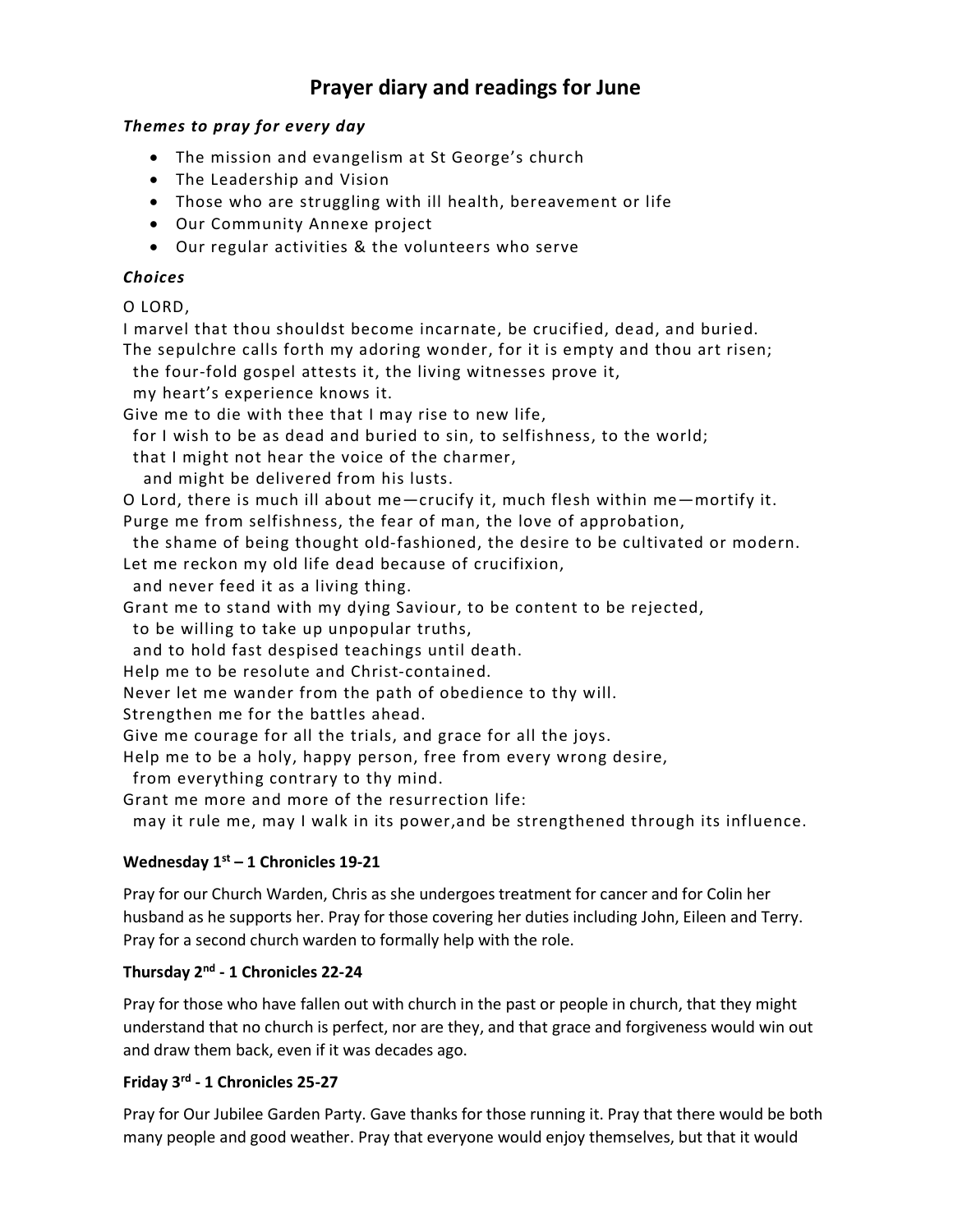# Prayer diary and readings for June

## Themes to pray for every day

- The mission and evangelism at St George's church
- The Leadership and Vision
- Those who are struggling with ill health, bereavement or life
- Our Community Annexe project
- Our regular activities & the volunteers who serve

# Choices

O LORD,

I marvel that thou shouldst become incarnate, be crucified, dead, and buried. The sepulchre calls forth my adoring wonder, for it is empty and thou art risen;

the four-fold gospel attests it, the living witnesses prove it,

my heart's experience knows it.

Give me to die with thee that I may rise to new life,

for I wish to be as dead and buried to sin, to selfishness, to the world;

that I might not hear the voice of the charmer,

and might be delivered from his lusts.

O Lord, there is much ill about me—crucify it, much flesh within me—mortify it.

Purge me from selfishness, the fear of man, the love of approbation,

 the shame of being thought old-fashioned, the desire to be cultivated or modern. Let me reckon my old life dead because of crucifixion,

and never feed it as a living thing.

Grant me to stand with my dying Saviour, to be content to be rejected,

to be willing to take up unpopular truths,

and to hold fast despised teachings until death.

Help me to be resolute and Christ-contained.

Never let me wander from the path of obedience to thy will.

Strengthen me for the battles ahead.

Give me courage for all the trials, and grace for all the joys.

Help me to be a holy, happy person, free from every wrong desire,

from everything contrary to thy mind.

Grant me more and more of the resurrection life:

may it rule me, may I walk in its power,and be strengthened through its influence.

# Wednesday  $1<sup>st</sup> - 1$  Chronicles 19-21

Pray for our Church Warden, Chris as she undergoes treatment for cancer and for Colin her husband as he supports her. Pray for those covering her duties including John, Eileen and Terry. Pray for a second church warden to formally help with the role.

# Thursday 2nd - 1 Chronicles 22-24

Pray for those who have fallen out with church in the past or people in church, that they might understand that no church is perfect, nor are they, and that grace and forgiveness would win out and draw them back, even if it was decades ago.

# Friday 3rd - 1 Chronicles 25-27

Pray for Our Jubilee Garden Party. Gave thanks for those running it. Pray that there would be both many people and good weather. Pray that everyone would enjoy themselves, but that it would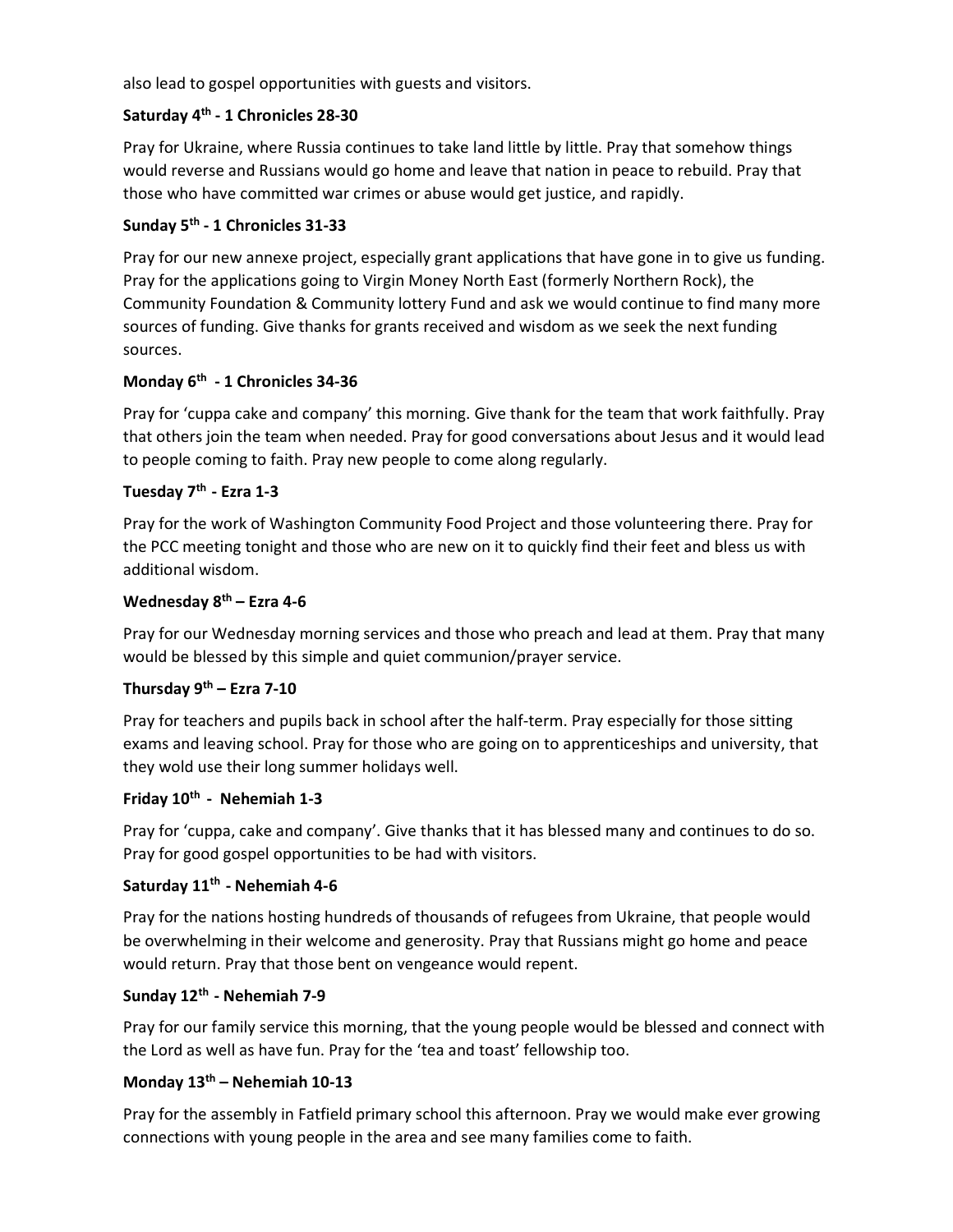also lead to gospel opportunities with guests and visitors.

## Saturday 4<sup>th</sup> - 1 Chronicles 28-30

Pray for Ukraine, where Russia continues to take land little by little. Pray that somehow things would reverse and Russians would go home and leave that nation in peace to rebuild. Pray that those who have committed war crimes or abuse would get justice, and rapidly.

# Sunday 5<sup>th</sup> - 1 Chronicles 31-33

Pray for our new annexe project, especially grant applications that have gone in to give us funding. Pray for the applications going to Virgin Money North East (formerly Northern Rock), the Community Foundation & Community lottery Fund and ask we would continue to find many more sources of funding. Give thanks for grants received and wisdom as we seek the next funding sources.

## Monday 6<sup>th</sup> - 1 Chronicles 34-36

Pray for 'cuppa cake and company' this morning. Give thank for the team that work faithfully. Pray that others join the team when needed. Pray for good conversations about Jesus and it would lead to people coming to faith. Pray new people to come along regularly.

## Tuesday 7<sup>th</sup> - Ezra 1-3

Pray for the work of Washington Community Food Project and those volunteering there. Pray for the PCC meeting tonight and those who are new on it to quickly find their feet and bless us with additional wisdom.

## Wednesday  $8<sup>th</sup>$  – Ezra 4-6

Pray for our Wednesday morning services and those who preach and lead at them. Pray that many would be blessed by this simple and quiet communion/prayer service.

## Thursday  $9<sup>th</sup>$  – Ezra 7-10

Pray for teachers and pupils back in school after the half-term. Pray especially for those sitting exams and leaving school. Pray for those who are going on to apprenticeships and university, that they wold use their long summer holidays well.

## Friday 10<sup>th</sup> - Nehemiah 1-3

Pray for 'cuppa, cake and company'. Give thanks that it has blessed many and continues to do so. Pray for good gospel opportunities to be had with visitors.

## Saturday 11<sup>th</sup> - Nehemiah 4-6

Pray for the nations hosting hundreds of thousands of refugees from Ukraine, that people would be overwhelming in their welcome and generosity. Pray that Russians might go home and peace would return. Pray that those bent on vengeance would repent.

## Sunday 12th - Nehemiah 7-9

Pray for our family service this morning, that the young people would be blessed and connect with the Lord as well as have fun. Pray for the 'tea and toast' fellowship too.

## Monday  $13<sup>th</sup>$  – Nehemiah 10-13

Pray for the assembly in Fatfield primary school this afternoon. Pray we would make ever growing connections with young people in the area and see many families come to faith.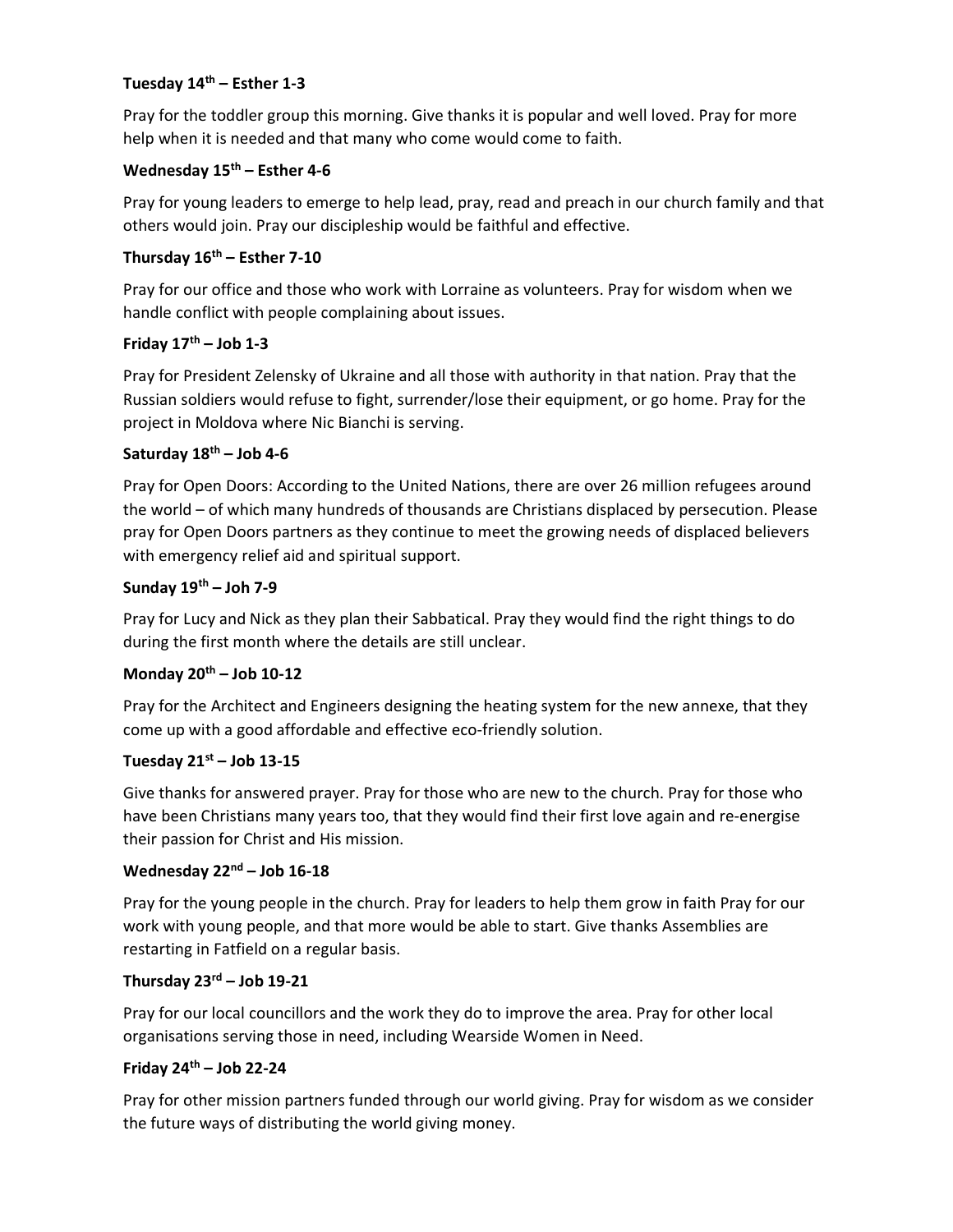#### Tuesday  $14<sup>th</sup>$  – Esther 1-3

Pray for the toddler group this morning. Give thanks it is popular and well loved. Pray for more help when it is needed and that many who come would come to faith.

## Wednesday  $15<sup>th</sup>$  – Esther 4-6

Pray for young leaders to emerge to help lead, pray, read and preach in our church family and that others would join. Pray our discipleship would be faithful and effective.

## Thursday  $16^{th}$  – Esther 7-10

Pray for our office and those who work with Lorraine as volunteers. Pray for wisdom when we handle conflict with people complaining about issues.

#### Friday  $17<sup>th</sup> -$  Job 1-3

Pray for President Zelensky of Ukraine and all those with authority in that nation. Pray that the Russian soldiers would refuse to fight, surrender/lose their equipment, or go home. Pray for the project in Moldova where Nic Bianchi is serving.

#### Saturday 18<sup>th</sup> – Job 4-6

Pray for Open Doors: According to the United Nations, there are over 26 million refugees around the world – of which many hundreds of thousands are Christians displaced by persecution. Please pray for Open Doors partners as they continue to meet the growing needs of displaced believers with emergency relief aid and spiritual support.

#### Sunday  $19^{th}$  – Joh 7-9

Pray for Lucy and Nick as they plan their Sabbatical. Pray they would find the right things to do during the first month where the details are still unclear.

## Monday  $20^{th}$  – Job 10-12

Pray for the Architect and Engineers designing the heating system for the new annexe, that they come up with a good affordable and effective eco-friendly solution.

#### Tuesday  $21^{st}$  – Job 13-15

Give thanks for answered prayer. Pray for those who are new to the church. Pray for those who have been Christians many years too, that they would find their first love again and re-energise their passion for Christ and His mission.

#### Wednesday  $22<sup>nd</sup> - Job 16-18$

Pray for the young people in the church. Pray for leaders to help them grow in faith Pray for our work with young people, and that more would be able to start. Give thanks Assemblies are restarting in Fatfield on a regular basis.

#### Thursday  $23^{rd}$  – Job 19-21

Pray for our local councillors and the work they do to improve the area. Pray for other local organisations serving those in need, including Wearside Women in Need.

#### Friday  $24<sup>th</sup> -$  Job 22-24

Pray for other mission partners funded through our world giving. Pray for wisdom as we consider the future ways of distributing the world giving money.